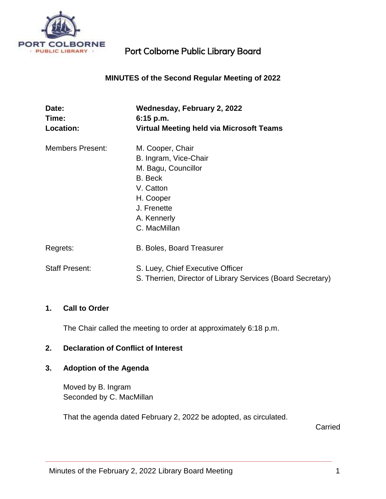

## **MINUTES of the Second Regular Meeting of 2022**

| Date:<br>Time:          | Wednesday, February 2, 2022<br>$6:15$ p.m.                  |
|-------------------------|-------------------------------------------------------------|
| <b>Location:</b>        | <b>Virtual Meeting held via Microsoft Teams</b>             |
| <b>Members Present:</b> | M. Cooper, Chair                                            |
|                         | B. Ingram, Vice-Chair                                       |
|                         | M. Bagu, Councillor                                         |
|                         | B. Beck                                                     |
|                         | V. Catton                                                   |
|                         | H. Cooper                                                   |
|                         | J. Frenette                                                 |
|                         | A. Kennerly                                                 |
|                         | C. MacMillan                                                |
| Regrets:                | <b>B. Boles, Board Treasurer</b>                            |
| <b>Staff Present:</b>   | S. Luey, Chief Executive Officer                            |
|                         | S. Therrien, Director of Library Services (Board Secretary) |

#### **1. Call to Order**

The Chair called the meeting to order at approximately 6:18 p.m.

#### **2. Declaration of Conflict of Interest**

## **3. Adoption of the Agenda**

Moved by B. Ingram Seconded by C. MacMillan

That the agenda dated February 2, 2022 be adopted, as circulated.

**Carried**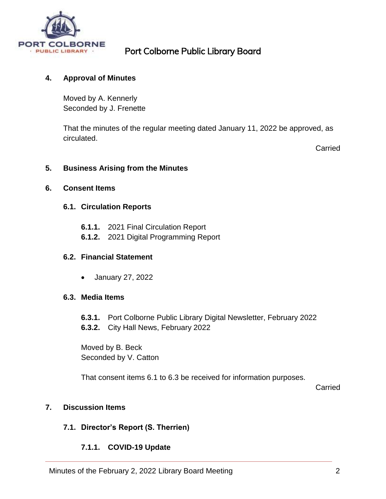

## **4. Approval of Minutes**

Moved by A. Kennerly Seconded by J. Frenette

That the minutes of the regular meeting dated January 11, 2022 be approved, as circulated.

Carried

#### **5. Business Arising from the Minutes**

#### **6. Consent Items**

#### **6.1. Circulation Reports**

- **6.1.1.** 2021 Final Circulation Report
- **6.1.2.** 2021 Digital Programming Report

#### **6.2. Financial Statement**

January 27, 2022

#### **6.3. Media Items**

- **6.3.1.** Port Colborne Public Library Digital Newsletter, February 2022
- **6.3.2.** City Hall News, February 2022

Moved by B. Beck Seconded by V. Catton

That consent items 6.1 to 6.3 be received for information purposes.

Carried

## **7. Discussion Items**

## **7.1. Director's Report (S. Therrien)**

## **7.1.1. COVID-19 Update**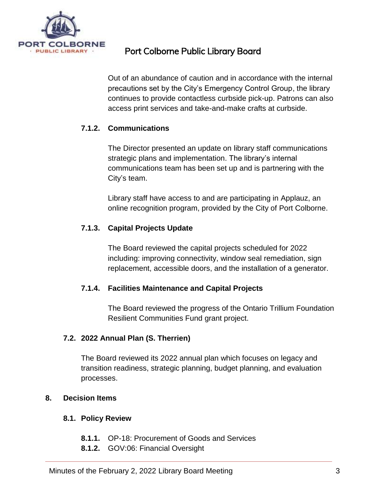

Out of an abundance of caution and in accordance with the internal precautions set by the City's Emergency Control Group, the library continues to provide contactless curbside pick-up. Patrons can also access print services and take-and-make crafts at curbside.

# **7.1.2. Communications**

The Director presented an update on library staff communications strategic plans and implementation. The library's internal communications team has been set up and is partnering with the City's team.

Library staff have access to and are participating in Applauz, an online recognition program, provided by the City of Port Colborne.

## **7.1.3. Capital Projects Update**

The Board reviewed the capital projects scheduled for 2022 including: improving connectivity, window seal remediation, sign replacement, accessible doors, and the installation of a generator.

## **7.1.4. Facilities Maintenance and Capital Projects**

The Board reviewed the progress of the Ontario Trillium Foundation Resilient Communities Fund grant project.

## **7.2. 2022 Annual Plan (S. Therrien)**

The Board reviewed its 2022 annual plan which focuses on legacy and transition readiness, strategic planning, budget planning, and evaluation processes.

## **8. Decision Items**

## **8.1. Policy Review**

- **8.1.1.** OP-18: Procurement of Goods and Services
- **8.1.2.** GOV:06: Financial Oversight